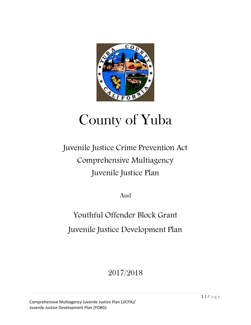

# County of Yuba

# Juvenile Justice Crime Prevention Act Comprehensive Multiagency Juvenile Justice Plan

And

Youthful Offender Block Grant Juvenile Justice Development Plan

2017/2018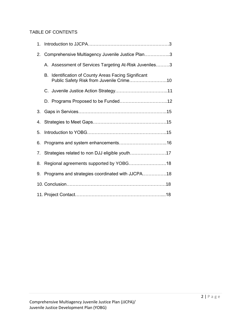# TABLE OF CONTENTS

| 1. |                                                  |                                                        |  |
|----|--------------------------------------------------|--------------------------------------------------------|--|
| 2. | Comprehensive Multiagency Juvenile Justice Plan3 |                                                        |  |
|    |                                                  | A. Assessment of Services Targeting At-Risk Juveniles3 |  |
|    | В.                                               | Identification of County Areas Facing Significant      |  |
|    |                                                  |                                                        |  |
|    |                                                  |                                                        |  |
| 3. |                                                  |                                                        |  |
| 4. |                                                  |                                                        |  |
| 5. |                                                  |                                                        |  |
| 6. |                                                  |                                                        |  |
| 7. | Strategies related to non DJJ eligible youth17   |                                                        |  |
| 8. | Regional agreements supported by YOBG18          |                                                        |  |
| 9. | Programs and strategies coordinated with JJCPA18 |                                                        |  |
|    |                                                  |                                                        |  |
|    |                                                  |                                                        |  |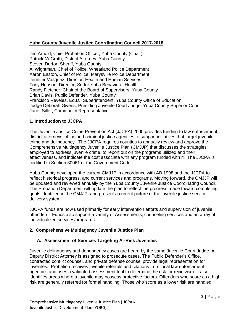# **Yuba County Juvenile Justice Coordinating Council 2017-2018**

Jim Arnold, Chief Probation Officer, Yuba County (Chair) Patrick McGrath, District Attorney, Yuba County Steven Durfor, Sheriff, Yuba County Al Wightman, Chief of Police, Wheatland Police Department Aaron Easton, Chief of Police, Marysville Police Department Jennifer Vasquez, Director, Health and Human Services Tony Hobson, Director, Sutter Yuba Behavioral Health Randy Fletcher, Chair of the Board of Supervisors, Yuba County Brian Davis, Public Defender, Yuba County Francisco Reveles, Ed.D., Superintendent, Yuba County Office of Education Judge Deborah Givens, Presiding Juvenile Court Judge, Yuba County Superior Court Janet Siller, Community Representative

#### **1. Introduction to JJCPA**

The Juvenile Justice Crime Prevention Act (JJCPA) 2000 provides funding to law enforcement, district attorneys' office and criminal justice agencies to support initiatives that target juvenile crime and delinquency. The JJCPA requires counties to annually review and approve the Comprehensive Multiagency Juvenile Justice Plan (CMJJP) that discusses the strategies employed to address juvenile crime, to report out on the programs utilized and their effectiveness, and indicate the cost associate with any program funded with it. The JJCPA is codified in Section 30061 of the Government Code.

Yuba County developed the current CMJJP in accordance with AB 1998 and the JJCPA to reflect historical progress, and current services and programs. Moving forward, the CMJJP will be updated and reviewed annually by the Yuba County Juvenile Justice Coordinating Council. The Probation Department will update the plan to reflect the progress made toward completing goals identified in the CMJJP, and present a current picture of the juvenile justice service delivery system.

JJCPA funds are now used primarily for early intervention efforts and supervision of juvenile offenders. Funds also support a variety of Assessments, counseling services and an array of individualized services/programs.

# **2. Comprehensive Multiagency Juvenile Justice Plan**

# **A. Assessment of Services Targeting At-Risk Juveniles**

Juvenile delinquency and dependency cases are heard by the same Juvenile Court Judge. A Deputy District Attorney is assigned to prosecute cases. The Public Defender's Office, contracted conflict counsel, and private defense counsel provide legal representation for juveniles. Probation receives juvenile referrals and citations from local law enforcement agencies and uses a validated assessment tool to determine the risk for recidivism. It also identifies areas where a juvenile may possess protective factors. Offenders who score as a high risk are generally referred for formal handling. Those who score as a lower risk are handled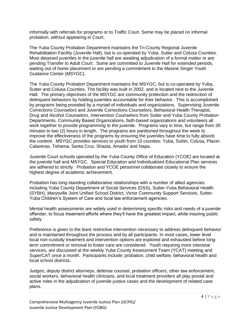informally with referrals for programs or to Traffic Court. Some may be placed on informal probation, without appearing in Court.

The Yuba County Probation Department maintains the Tri-County Regional Juvenile Rehabilitation Facility (Juvenile Hall), but is co-operated by Yuba, Sutter and Colusa Counties. Most detained juveniles in the juvenile hall are awaiting adjudication of a formal matter or are pending Transfer to Adult Court. Some are committed to Juvenile Hall for extended periods, waiting out of home placement or are pending a commitment to the Maxine Singer Youth Guidance Center (MSYGC).

The Yuba County Probation Department maintains the MSYGC, but is co-operated by Yuba, Sutter and Colusa Counties. The facility was built in 2002, and is located next to the Juvenile Hall. The primary objectives of the MSYGC are community protection and the redirection of delinquent behaviors by holding juveniles accountable for their behavior. This is accomplished by programs being provided by a myriad of individuals and organizations. Supervising Juvenile Corrections Counselors and Juvenile Corrections Counselors, Behavioral Health Therapist, Drug and Alcohol Counselors, Intervention Counselors from Sutter and Yuba County Probation Departments, Community Based Organizations, faith-based organizations and volunteers all work together to provide programming to the juvenile. Programs vary in time, but range from 30 minutes to two (2) hours in length. The programs are partitioned throughout the week to improve the effectiveness of the programs by ensuring the juveniles have time to fully absorb the content. MSYGC provides services to youth from 10 counties: Yuba, Sutter, Colusa, Placer, Calaveras, Tehama, Santa Cruz, Shasta, Amador and Napa.

Juvenile Court schools operated by the Yuba County Office of Education (YCOE) are located at the juvenile hall and MSYGC. Special Education and Individualized Educational Plan services are adhered to strictly. Probation and YCOE personnel collaborate closely to ensure the highest degree of academic achievement.

Probation has long-standing collaborative relationships with a number of allied agencies including Yuba County Department of Social Services (DSS), Sutter-Yuba Behavioral Health (SYBH), Marysville Joint Unified School District, Victor Community Support Services, Sutter-Yuba Children's System of Care and local law enforcement agencies.

Mental health assessments are widely used in determining specific risks and needs of a juvenile offender, to focus treatment efforts where they'll have the greatest impact, while insuring public safety.

Preference is given to the least restrictive intervention necessary to address delinquent behavior and is maintained throughout the process and by all participants. In most cases, lower level local non-custody treatment and intervention options are explored and exhausted before longterm commitment or removal to foster care are considered. Youth requiring more intensive services, are discussed at the weekly Yuba County Assessment Team (YCAT) meeting and SuperCAT once a month. Participants include; probation, child welfare, behavioral health and local school districts.

Judges, deputy district attorneys, defense counsel, probation officers, other law enforcement, social workers, behavioral health clinicians, and local treatment providers all play pivotal and active roles in the adjudication of juvenile justice cases and the development of related case plans.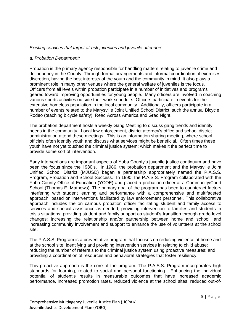#### *Existing services that target at-risk juveniles and juvenile offenders:*

#### *a. Probation Department:*

Probation is the primary agency responsible for handling matters relating to juvenile crime and delinquency in the County. Through formal arrangements and informal coordination, it exercises discretion, having the best interests of the youth and the community in mind. It also plays a prominent role in many other venues where the general welfare of juveniles is the focus. Officers from all levels within probation participate in a number of initiatives and programs geared toward improving opportunities for young people. Many officers are involved in coaching various sports activities outside their work schedule. Officers participate in events for the extensive homeless population in the local community. Additionally, officers participate in a number of events related to the Marysville Joint Unified School District; such the annual Bicycle Rodeo (teaching bicycle safety), Read Across America and Grad Night.

The probation department hosts a weekly Gang Meeting to discuss gang trends and identify needs in the community. Local law enforcement, district attorney's office and school district administration attend these meetings. This is an information sharing meeting, where school officials often identify youth and discuss what services might be beneficial. Often times these youth have not yet touched the criminal justice system; which makes it the perfect time to provide some sort of intervention.

Early interventions are important aspects of Yuba County's juvenile justice continuum and have been the focus since the 1980's. In 1986, the probation department and the Marysville Joint Unified School District (MJUSD) began a partnership appropriately named the P.A.S.S. Program, Probation and School Success. In 1990, the P.A.S.S. Program collaborated with the Yuba County Office of Education (YCOE) and placed a probation officer at a Community/Court School (Thomas E. Mathews). The primary goal of the program has been to counteract factors interfering with student learning and performance with a comprehensive and multifaceted approach, based on interventions facilitated by law enforcement personnel. This collaborative approach includes the on campus probation officer facilitating student and family access to services and special assistance as needed; providing intervention to families and students in crisis situations; providing student and family support as student's transition through grade level changes; increasing the relationship and/or partnership between home and school; and increasing community involvement and support to enhance the use of volunteers at the school site.

The P.A.S.S. Program is a preventative program that focuses on reducing violence at home and at the school site; identifying and providing intervention services in relating to child abuse; reducing the number of referrals to the criminal justice system using proactive measures; and providing a coordination of resources and behavioral strategies that foster resiliency.

This proactive approach is the core of the program. The P.A.S.S. Program incorporates high standards for learning, related to social and personal functioning. Enhancing the individual potential of student's results in measurable outcomes that have increased academic performance, increased promotion rates, reduced violence at the school sites, reduced out-of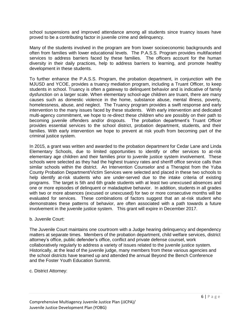school suspensions and improved attendance among all students since truancy issues have proved to be a contributing factor in juvenile crime and delinquency.

Many of the students involved in the program are from lower socioeconomic backgrounds and often from families with lower educational levels. The P.A.S.S. Program provides multifaceted services to address barriers faced by these families. The officers account for the human diversity in their daily practices, help to address barriers to learning, and promote healthy development in these students.

To further enhance the P.A.S.S. Program, the probation department, in conjunction with the MJUSD and YCOE, provides a truancy mediation program, including a Truant Officer, to keep students in school. Truancy is often a gateway to delinquent behavior and is indicative of family dysfunction on a larger scale. When elementary school-age children are truant, there are many causes such as domestic violence in the home, substance abuse, mental illness, poverty, homelessness, abuse, and neglect. The Truancy program provides a swift response and early intervention to the many issues faced by these students. With early intervention and dedicated multi-agency commitment, we hope to re-direct these children who are possibly on their path to becoming juvenile offenders and/or dropouts. The probation department's Truant Officer provides essential services to the school district, probation department, students, and their families. With early intervention we hope to prevent at risk youth from becoming part of the criminal justice system.

In 2015, a grant was written and awarded to the probation department for Cedar Lane and Linda Elementary Schools, due to limited opportunities to identify or offer services to at-risk elementary age children and their families prior to juvenile justice system involvement. These schools were selected as they had the highest truancy rates and sheriff office service calls than similar schools within the district. An Intervention Counselor and a Therapist from the Yuba County Probation Department/Victim Services were selected and placed in these two schools to help identify at-risk students who are under-served due to the intake criteria of existing programs. The target is 5th and 6th grade students with at least two unexcused absences and one or more episodes of delinquent or maladaptive behavior. In addition, students in all grades with two or more absences (excused or unexcused) for two or more consecutive months will be evaluated for services. These combinations of factors suggest that an at-risk student who demonstrates these patterns of behavior, are often associated with a path towards a future involvement in the juvenile justice system. This grant will expire in December 2017.

#### b. Juvenile Court:

The Juvenile Court maintains one courtroom with a Judge hearing delinquency and dependency matters at separate times. Members of the probation department, child welfare services, district attorney's office, public defender's office, conflict and private defense counsel, work collaboratively regularly to address a variety of issues related to the juvenile justice system. Historically, at the lead of the juvenile judge, many members from these various agencies and the school districts have teamed up and attended the annual Beyond the Bench Conference and the Foster Youth Education Summit.

c. District Attorney: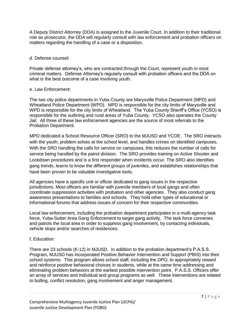A Deputy District Attorney (DDA) is assigned to the Juvenile Court. In addition to their traditional role as prosecutor, the DDA will regularly consult with law enforcement and probation officers on matters regarding the handling of a case or a disposition.

#### d. Defense counsel:

Private defense attorney's, who are contracted through the Court, represent youth in most criminal matters. Defense Attorney's regularly consult with probation officers and the DDA on what is the best outcome of a case involving youth.

#### e. Law Enforcement:

The two city police departments in Yuba County are Marysville Police Department (MPD) and Wheatland Police Department (WPD). MPD is responsible for the city limits of Marysville and WPD is responsible for the city limits of Wheatland. The Yuba County Sheriff's Office (YCSO) is responsible for the outlining and rural areas of Yuba County. YCSO also operates the County Jail. All three of these law enforcement agencies are the source of most referrals to the Probation Department.

MPD dedicated a School Resource Officer (SRO) to the MJUSD and YCOE. The SRO interacts with the youth; problem solves at the school level, and handles crimes on identified campuses. With the SRO handling the calls for service on campuses, this reduces the number of calls for service being handled by the patrol division. The SRO provides training on Active Shooter and Lockdown procedures and is a first responder when incidents occur. The SRO also identifies gang trends, learns to know the different groups of juveniles, and establishes relationships that have been proven to be valuable investigative tools.

All agencies have a specific unit or officer dedicated to gang issues in the respective jurisdictions. Most officers are familiar with juvenile members of local gangs and often coordinate suppression activities with probation and other agencies. They also conduct gang awareness presentations to families and schools. They hold other types of educational or informational forums that address issues of concern for their respective communities.

Local law enforcement, including the probation department participates in a multi-agency task force, Yuba-Sutter Area Gang Enforcement to target gang activity. The task force convenes and patrols the local area in order to suppress gang involvement, by contacting individuals, vehicle stops and/or searches of residences.

#### f. Education:

There are 23 schools (K-12) in MJUSD. In addition to the probation department's P.A.S.S. Program, MJUSD has incorporated Positive Behavior Intervention and Support (PBIS) into their school systems. This program allows school staff, including the DPO, to appropriately reward and reinforce positive behavioral choices in students, while at the same time addressing and eliminating problem behaviors at the earliest possible intervention point. P.A.S.S. Officers offer an array of services and individual and group programs as well. These interventions are related to bulling, conflict resolution, gang involvement and anger management.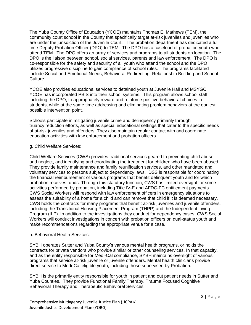The Yuba County Office of Education (YCOE) maintains Thomas E. Mathews (TEM), the community court school in the County that specifically target at-risk juveniles and juveniles who are under the jurisdiction of the Juvenile Court. The probation department has dedicated a full time Deputy Probation Officer (DPO) to TEM. The DPO has a caseload of probation youth who attend TEM. The DPO offers an array of services and programs to all students on location. The DPO is the liaison between school, social services, parents and law enforcement. The DPO is co-responsible for the safety and security of all youth who attend the school and the DPO utilizes progressive discipline to gain compliance of school rules. The programs facilitated include Social and Emotional Needs, Behavioral Redirecting, Relationship Building and School Culture.

YCOE also provides educational services to detained youth at Juvenile Hall and MSYGC. YCOE has incorporated PBIS into their school systems. This program allows school staff, including the DPO, to appropriately reward and reinforce positive behavioral choices in students, while at the same time addressing and eliminating problem behaviors at the earliest possible intervention point.

Schools participate in mitigating juvenile crime and delinquency primarily through truancy reduction efforts, as well as special educational settings that cater to the specific needs of at-risk juveniles and offenders. They also maintain regular contact with and coordinate education activities with law enforcement and probation officers.

#### g. Child Welfare Services:

Child Welfare Services (CWS) provides traditional services geared to preventing child abuse and neglect, and identifying and coordinating the treatment for children who have been abused. They provide family maintenance and family reunification services, and other mandated and voluntary services to persons subject to dependency laws. DSS is responsible for coordinating the financial reimbursement of various programs that benefit delinquent youth and for which probation receives funds. Through this statutory function, CWS has limited oversight for some activities performed by probation, including Title IV-E and AFDC-FC entitlement payments. CWS Social Workers will respond with law enforcement officers in emergency situations to assess the suitability of a home for a child and can remove that child if it is deemed necessary. CWS holds the contracts for many programs that benefit at-risk juveniles and juvenile offenders, including the Transitional Housing Placement Program (THPP) and the Independent Living Program (ILP). In addition to the investigations they conduct for dependency cases, CWS Social Workers will conduct investigations in concert with probation officers on dual-status youth and make recommendations regarding the appropriate venue for a case.

#### h. Behavioral Health Services:

SYBH operates Sutter and Yuba County's various mental health programs, or holds the contracts for private vendors who provide similar or other counseling services. In that capacity, and as the entity responsible for Medi-Cal compliance, SYBH maintains oversight of various programs that service at-risk juvenile or juvenile offenders. Mental health clinicians provide direct service to Medi-Cal eligible youth, including those supervised by Probation.

SYBH is the primarily entity responsible for youth in patient and out patient needs in Sutter and Yuba Counties. They provide Functional Family Therapy, Trauma Focused Cognitive Behavioral Therapy and Therapeutic Behavioral Services.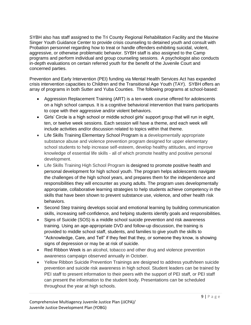SYBH also has staff assigned to the Tri County Regional Rehabilitation Facility and the Maxine Singer Youth Guidance Center to provide crisis counseling to detained youth and consult with Probation personnel regarding how to treat or handle offenders exhibiting suicidal, violent, aggressive, or otherwise problematic behavior. SYBH staff is also assigned to the Camp programs and perform individual and group counseling sessions. A psychologist also conducts in-depth evaluations on certain referred youth for the benefit of the Juvenile Court and concerned parties.

Prevention and Early Intervention (PEI) funding via Mental Health Services Act has expanded crisis intervention capacities to Children and the Transitional Age Youth (TAY). SYBH offers an array of programs in both Sutter and Yuba Counties. The following programs at school-based:

- Aggression Replacement Training (ART) is a ten-week course offered for adolescents on a high school campus. It is a cognitive behavioral intervention that trains participants to cope with their aggressive and/or violent behaviors.
- Girls' Circle is a high school or middle school girls' support group that will run in eight, ten, or twelve week sessions. Each session will have a theme, and each week will include activities and/or discussion related to topics within that theme.
- Life Skills Training Elementary School Program is a developmentally appropriate substance abuse and violence prevention program designed for upper elementary school students to help increase self-esteem, develop healthy attitudes, and improve knowledge of essential life skills - all of which promote healthy and positive personal development.
- Life Skills Training High School Program is designed to promote positive health and personal development for high school youth. The program helps adolescents navigate the challenges of the high school years, and prepares them for the independence and responsibilities they will encounter as young adults. The program uses developmentally appropriate, collaborative learning strategies to help students achieve competency in the skills that have been shown to prevent substance use, violence, and other health risk behaviors.
- Second Step training develops social and emotional learning by building communication skills, increasing self-confidence, and helping students identify goals and responsibilities.
- Signs of Suicide (SOS) is a middle school suicide prevention and risk awareness training. Using an age-appropriate DVD and follow-up discussion, the training is provided to middle school staff, students, and families to give youth the skills to "Acknowledge, Care, and Tell" if they feel that they, or someone they know, is showing signs of depression or may be at risk of suicide.
- Red Ribbon Week is an alcohol, tobacco and other drug and violence prevention awareness campaign observed annually in October.
- Yellow Ribbon Suicide Prevention Trainings are designed to address youth/teen suicide prevention and suicide risk awareness in high school. Student leaders can be trained by PEI staff to present information to their peers with the support of PEI staff, or PEI staff can present the information to the student body. Presentations can be scheduled throughout the year at high schools.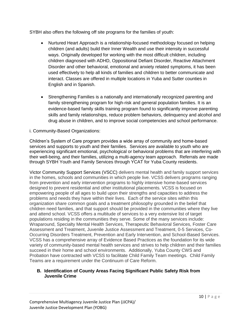SYBH also offers the following off site programs for the families of youth:

- Nurtured Heart Approach is a relationship-focused methodology focused on helping children (and adults) build their Inner Wealth and use their intensity in successful ways. Originally developed for working with the most difficult children, including children diagnosed with ADHD, Oppositional Defiant Disorder, Reactive Attachment Disorder and other behavioral, emotional and anxiety related symptoms, it has been used effectively to help all kinds of families and children to better communicate and interact. Classes are offered in multiple locations in Yuba and Sutter counties in English and in Spanish.
- Strengthening Families is a nationally and internationally recognized parenting and family strengthening program for high-risk and general population families. It is an evidence-based family skills training program found to significantly improve parenting skills and family relationships, reduce problem behaviors, delinquency and alcohol and drug abuse in children, and to improve social competencies and school performance.

#### i. Community-Based Organizations:

Children's System of Care program provides a wide array of community and home-based services and supports to youth and their families. Services are available to youth who are experiencing significant emotional, psychological or behavioral problems that are interfering with their well-being, and their families, utilizing a multi-agency team approach. Referrals are made through SYBH Youth and Family Services through YCAT for Yuba County residents.

Victor Community Support Services (VSCC) delivers mental health and family support services in the homes, schools and communities in which people live. VCSS delivers programs ranging from prevention and early intervention programs to highly intensive home-based services designed to prevent residential and other institutional placements. VCSS is focused on empowering people of all ages to build upon their strengths and capacities to address the problems and needs they have within their lives. Each of the service sites within this organization share common goals and a treatment philosophy grounded in the belief that children need families, and that support should be provided in the communities where they live and attend school. VCSS offers a multitude of services to a very extensive list of target populations residing in the communities they serve. Some of the many services include: Wraparound, Specialty Mental Health Services, Therapeutic Behavioral Services, Foster Care Assessment and Treatment, Juvenile Justice Assessment and Treatment, 0-5 Services, Co-Occurring Disorders Treatment, Prevention and Early Intervention, and School-Based Services. VCSS has a comprehensive array of Evidence Based Practices as the foundation for its wide variety of community-based mental health services and strives to help children and their families succeed in their home and school environments. Additionally, Yuba County CWS and Probation have contracted with VCSS to facilitate Child Family Team meetings. Child Family Teams are a requirement under the Continuum of Care Reform.

#### **B. Identification of County Areas Facing Significant Public Safety Risk from Juvenile Crime**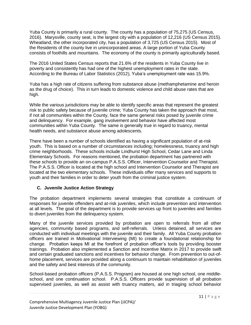Yuba County is primarily a rural county. The county has a population of 75,275 (US Census, 2016). Marysville, county seat, is the largest city with a population of 12,216 (US Census 2015). Wheatland, the other incorporated city, has a population of 3,725 (US Census 2015). Most of the Residents of the county live in unincorporated areas. A large portion of Yuba County consists of foothills and mountains. The economy of the county is primarily agriculturally based.

The 2016 United States Census reports that 21.6% of the residents in Yuba County live in poverty and consistently has had one of the highest unemployment rates in the state. According to the Bureau of Labor Statistics (2012), Yuba's unemployment rate was 15.9%.

Yuba has a high rate of citizens suffering from substance abuse (methamphetamine and heroin as the drug of choice). This in turn leads to domestic violence and child abuse rates that are high.

While the various jurisdictions may be able to identify specific areas that represent the greatest risk to public safety because of juvenile crime; Yuba County has taken the approach that most, if not all communities within the County, face the same general risks posed by juvenile crime and delinquency. For example, gang involvement and behavior have affected most communities within Yuba County. The same is generally true in regard to truancy, mental health needs, and substance abuse among adolescents.

There have been a number of schools identified as having a significant population of at-risk youth. This is based on a number of circumstances including; homelessness, truancy and high crime neighborhoods. These schools include Lindhurst High School, Cedar Lane and Linda Elementary Schools. For reasons mentioned, the probation department has partnered with these schools to provide an on-campus P.A.S.S. Officer, Intervention Counselor and Therapist. The P.A.S.S. Officer is located at the high school and Intervention Counselor and Therapist are located at the two elementary schools. These individuals offer many services and supports to youth and their families in order to deter youth from the criminal justice system.

# **C. Juvenile Justice Action Strategy**

The probation department implements several strategies that constitute a continuum of responses for juvenile offenders and at-risk juveniles, which include prevention and intervention at all levels. The goal of the department is to provide services up front to juveniles and families to divert juveniles from the delinquency system.

Many of the juvenile services provided by probation are open to referrals from all other agencies, community based programs, and self-referrals. Unless detained, all services are conducted with individual meetings with the juvenile and their family. All Yuba County probation officers are trained in Motivational Interviewing (MI) to create a foundational relationship for change. Probation keeps MI at the forefront of probation officer's tools by providing booster trainings. Probation also implemented a Sanction and Incentive Matrix in 2017 to provide swift and certain graduated sanctions and incentives for behavior change. From prevention to out-ofhome placement, services are provided along a continuum to maintain rehabilitation of juveniles and the safety and best interests of the community.

School-based probation officers (P.A.S.S. Program) are housed at one high school, one middleschool, and one continuation school. P.A.S.S. Officers provide supervision of all probation supervised juveniles, as well as assist with truancy matters, aid in triaging school behavior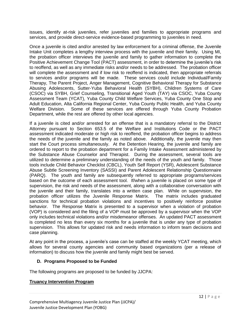issues, identify at-risk juveniles, refer juveniles and families to appropriate programs and services, and provide direct-service evidence-based programming to juveniles in need.

Once a juvenile is cited and/or arrested by law enforcement for a criminal offense, the Juvenile Intake Unit completes a lengthy interview process with the juvenile and their family. Using MI, the probation officer interviews the juvenile and family to gather information to complete the Positive Achievement Change Tool (PACT) assessment, in order to determine the juvenile's risk to reoffend, as well as any immediate risks and/or needs to be addressed. The probation officer will complete the assessment and if low risk to reoffend is indicated, then appropriate referrals to services and/or programs will be made. These services could include Individual/Family Therapy, The Parent Project, Anger Management, Cognitive Behavioral Therapy for Substance Abusing Adolescents, Sutter-Yuba Behavioral Health (SYBH), Children Systems of Care (CSOC) via SYBH, Grief Counseling, Transitional Aged Youth (TAY) via CSOC, Yuba County Assessment Team (YCAT), Yuba County Child Welfare Services, Yuba County One Stop and Adult Education, Alta California Regional Center, Yuba County Public Health, and Yuba County Welfare Division. Some of these services are offered through Yuba County Probation Department, while the rest are offered by other local agencies.

If a juvenile is cited and/or arrested for an offense that is a mandatory referral to the District Attorney pursuant to Section 653.5 of the Welfare and Institutions Code or the PACT assessment indicated moderate or high risk to reoffend, the probation officer begins to address the needs of the juvenile and the family as noted above. Additionally, the juvenile may then start the Court process simultaneously. At the Detention Hearing, the juvenile and family are ordered to report to the probation department for a Family Intake Assessment administered by the Substance Abuse Counselor and Therapist. During the assessment, several tools are utilized to determine a preliminary understanding of the needs of the youth and family. Those tools include Child Behavior Checklist (CBCL), Youth Self Report (YSR), Adolescent Substance Abuse Subtle Screening Inventory (SASSI) and Parent Adolescent Relationship Questionnaire (PARQ). The youth and family are subsequently referred to appropriate programs/services based on the outcome of each assessment tool. If/when a juvenile is placed on some type of supervision, the risk and needs of the assessment, along with a collaborative conversation with the juvenile and their family, translates into a written case plan. While on supervision, the probation officer utilizes the Juvenile Response Matrix. The matrix includes graduated sanctions for technical probation violations and incentives to positively reinforce positive behavior. The Response Matrix is presented to a supervisor when a violation of probation (VOP) is considered and the filing of a VOP must be approved by a supervisor when the VOP only includes technical violations and/or misdemeanor offenses. An updated PACT assessment is completed no less than every six months for a juvenile that is under any type of probation supervision. This allows for updated risk and needs information to inform team decisions and case planning.

At any point in the process, a juvenile's case can be staffed at the weekly YCAT meeting, which allows for several county agencies and community based organizations (per a release of information) to discuss how the juvenile and family might best be served.

#### **D. Programs Proposed to be Funded**

The following programs are proposed to be funded by JJCPA:

#### **Truancy Intervention Program**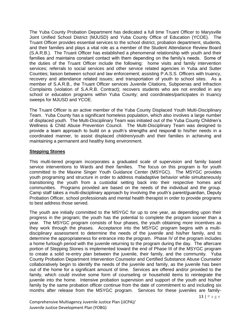The Yuba County Probation Department has dedicated a full time Truant Officer to Marysville Joint Unified School District (MJUSD) and Yuba County Office of Education (YCOE). The Truant Officer provides essential services to the school district, probation department, students, and their families and plays a vital role as a member of the Student Attendance Review Board (S.A.R.B.). The Truant Officer has established a phenomenal relationship with youth and their families and maintains constant contact with them depending on the family's needs. Some of the duties of the Truant Officer include the following: home visits and family intervention services; referrals to social services and other service related agencies in Yuba and Sutter Counties; liaison between school and law enforcement; assisting P.A.S.S. Officers with truancy, recovery and attendance related issues; and transportation of youth to school sites. As a member of S.A.R.B., the Truant Officer services Juvenile Citations, Subpoenas and Infraction Complaints (violation of S.A.R.B. Contract); recovers students who are not enrolled in any school or education programs within Yuba County; and coordinates/participates in truancy sweeps for MJUSD and YCOE.

The Truant Officer is an active member of the Yuba County Displaced Youth Multi-Disciplinary Team. Yuba County has a significant homeless population, which also involves a large number of displaced youth. The Multi-Disciplinary Team was initiated out of the Yuba County Children's Wellness & Child Abuse Prevention Council. The Multi-Disciplinary Team was designed to provide a team approach to build on a youth's strengths and respon**d** to his/her needs in a coordinated manner, to assist displaced children/youth and their families in achieving and maintaining a permanent and healthy living environment.

# **Stepping Stones**

This multi-tiered program incorporates a graduated scale of supervision and family based service interventions to Wards and their families. The focus on this program is for youth committed to the Maxine Singer Youth Guidance Center (MSYGC). The MSYGC provides youth programing and structure in order to address maladaptive behavior while simultaneously transitioning the youth from a custodial setting back into their respective homes and communities. Programs provided are based on the needs of the individual and the group. Camp staff takes a multi-disciplinary approach by involving the youth's parent/guardian, Deputy Probation Officer, school professionals and mental health therapist in order to provide programs to best address those served.

The youth are initially committed to the MSYGC for up to one year, as depending upon their progress in the program; the youth has the potential to complete the program sooner than a year. The MSYGC program consists of four phases, the youth obtaining more incentives as they work through the phases. Acceptance into the MSYGC program begins with a multidisciplinary assessment to determine the needs of the juvenile and his/her family, and to determine the appropriateness for entrance into the program. Phase IV of the program includes a home furlough period with the juvenile returning to the program during the day. The aftercare portion of Stepping Stones is implemented toward the end of Phase III of the MSYGC program to create a solid re-entry plan between the juvenile, their family, and the community. Yuba County Probation Department Intervention Counselor and Certified Substance Abuse Counselor collaboratively begin to identify the needs of the juvenile and family, as the juvenile has been out of the home for a significant amount of time. Services are offered and/or provided to the family, which could involve some form of counseling or household items to reintegrate the juvenile into the home. Intensive probation supervision and support of the youth and his/her family by the same probation officer continue from the date of commitment to and including six months after release from the MSYGC program. Services for these juveniles are family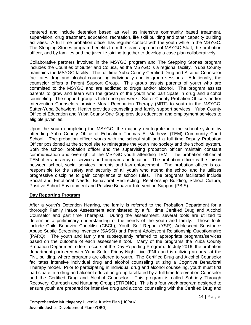centered and include detention based as well as intensive community based treatment, supervision, drug treatment, education, recreation, life skill building and other capacity building activities. A full time probation officer has regular contact with the youth while in the MSYGC. The Stepping Stones program benefits from the team approach of MSYGC Staff, the probation officer, and by families and the juvenile joining together to develop a case plan collaboratively.

Collaborative partners involved in the MSYGC program and The Stepping Stones program includes the Counties of Sutter and Colusa, as the MSYGC is a regional facility. Yuba County maintains the MSYGC facility. The full time Yuba County Certified Drug and Alcohol Counselor facilitates drug and alcohol counseling individually and in group sessions. Additionally, the counselor offers a Parent Support Group. This group assists parents of youth who are committed to the MSYGC and are addicted to drugs and/or alcohol. The program assists parents to grow and learn with the growth of the youth who participate in drug and alcohol counseling. The support group is held once per week. Sutter County Probation Officers and/or Intervention Counselors provide Moral Reconation Therapy (MRT) to youth in the MSYGC. Sutter-Yuba Behavioral Health provides counseling and family support services. Yuba County Office of Education and Yuba County One Stop provides education and employment services to eligible juveniles.

Upon the youth completing the MSYGC, the majority reintegrate into the school system by attending Yuba County Office of Education Thomas E. Mathews (TEM) Community Court School. The probation officer works with the school staff and a full time Deputy Probation Officer positioned at the school site to reintegrate the youth into society and the school system. Both the school probation officer and the supervising probation officer maintain constant communication and oversight of the MSYGC youth attending TEM. The probation officer at TEM offers an array of services and programs on location. The probation officer is the liaison between school, social services, parents and law enforcement. The probation officer is coresponsible for the safety and security of all youth who attend the school and he utilizes progressive discipline to gain compliance of school rules. The programs facilitated include Social and Emotional Needs, Behavioral Redirecting, Relationship Building, School Culture, Positive School Environment and Positive Behavior Intervention Support (PBIS).

# **Day Reporting Program**

After a youth's Detention Hearing, the family is referred to the Probation Department for a thorough Family Intake Assessment administered by a full time Certified Drug and Alcohol Counselor and part time Therapist. During the assessment, several tools are utilized to determine a preliminary understanding of the needs of the youth and family. Those tools include Child Behavior Checklist (CBCL), Youth Self Report (YSR), Adolescent Substance Abuse Subtle Screening Inventory (SASSI) and Parent Adolescent Relationship Questionnaire (PARQ). The youth and family are subsequently referred to appropriate programs/services based on the outcome of each assessment tool. Many of the programs the Yuba County Probation Department offers, occurs at the Day Reporting Program. In July 2016, the probation department partnered with Yuba-Sutter Friday Night Live (FNL) and is utilizing an area at the FNL building, where programs are offered to youth. The Certified Drug and Alcohol Counselor facilitates intensive individual drug and alcohol counseling utilizing a Cognitive Behavioral Therapy model. Prior to participating in individual drug and alcohol counseling, youth must first participate in a drug and alcohol education group facilitated by a full time Intervention Counselor and the Certified Drug and Alcohol Counselor. This program is called Sobriety Through Recovery, Outreach and Nurturing Group (STRONG). This is a four week program designed to ensure youth are prepared for intensive drug and alcohol counseling with the Certified Drug and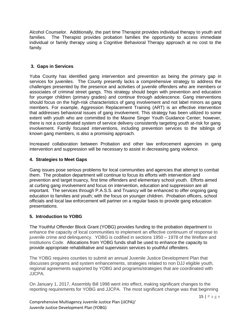Alcohol Counselor. Additionally, the part time Therapist provides individual therapy to youth and families. The Therapist provides probation families the opportunity to access immediate individual or family therapy using a Cognitive Behavioral Therapy approach at no cost to the family.

# **3. Gaps in Services**

Yuba County has identified gang intervention and prevention as being the primary gap in services for juveniles. The County presently lacks a comprehensive strategy to address the challenges presented by the presence and activities of juvenile offenders who are members or associates of criminal street gangs. This strategy should begin with prevention and education for younger children (primary grades) and continue through adolescence. Gang interventions should focus on the high-risk characteristics of gang involvement and not label minors as gang members. For example, Aggression Replacement Training (ART) is an effective intervention that addresses behavioral issues of gang involvement. This strategy has been utilized to some extent with youth who are committed to the Maxine Singer Youth Guidance Center; however, there is not a coordinated system of service delivery consistently targeting youth at-risk for gang involvement. Family focused interventions, including prevention services to the siblings of known gang members, is also a promising approach.

Increased collaboration between Probation and other law enforcement agencies in gang intervention and suppression will be necessary to assist in decreasing gang violence.

# **4. Strategies to Meet Gaps**

Gang issues pose serious problems for local communities and agencies that attempt to combat them. The probation department will continue to focus its efforts with intervention and prevention and target truancy, first time offenders and elementary school youth. Efforts aimed at curbing gang involvement and focus on intervention, education and suppression are all important. The services through P.A.S.S. and Truancy will be enhanced to offer ongoing gang education to families and youth; with the focus on younger children. Probation officers, school officials and local law enforcement will partner on a regular basis to provide gang education presentations.

# **5. Introduction to YOBG**

The Youthful Offender Block Grant (YOBG) provides funding to the probation department to enhance the capacity of local communities to implement an effective continuum of response to juvenile crime and delinquency. YOBG is codified in sections 1950 – 1978 of the Welfare and Institutions Code. Allocations from YOBG funds shall be used to enhance the capacity to provide appropriate rehabilitative and supervision services to youthful offenders.

The YOBG requires counties to submit an annual Juvenile Justice Development Plan that discusses programs and system enhancements, strategies related to non DJJ eligible youth, regional agreements supported by YOBG and programs/strategies that are coordinated with JJCPA.

On January 1, 2017, Assembly Bill 1998 went into effect, making significant changes to the reporting requirements for YOBG and JJCPA. The most significant change was that beginning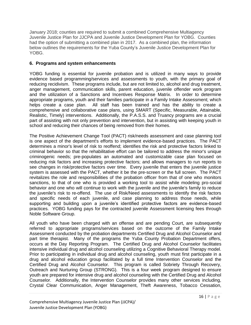January 2018; counties are required to submit a combined Comprehensive Multiagency Juvenile Justice Plan for JJCPA and Juvenile Justice Development Plan for YOBG. Counties had the option of submitting a combined plan in 2017. As a combined plan, the information below outlines the requirements for the Yuba County's Juvenile Justice Development Plan for YOBG.

# **6. Programs and system enhancements**

YOBG funding is essential for juvenile probation and is utilized in many ways to provide evidence based programming/services and assessments to youth, with the primary goal of reducing recidivism. These programs include, but are not limited to, alcohol and drug treatment, anger management, communication skills, parent education, juvenile offender work program and the utilization of a Sanctions and Incentives Response Matrix. In order to determine appropriate programs, youth and their families participate in a Family Intake Assessment; which helps create a case plan. All staff has been trained and has the ability to create a comprehensive and collaborative case plans, using SMART (Specific, Measurable, Attainable, Realistic, Timely) interventions. Additionally, the P.A.S.S. and Truancy programs are a crucial part of assisting with not only prevention and intervention, but in assisting with keeping youth in school and reducing their chances of being removed from their homes.

The Positive Achievement Change Tool (PACT) risk/needs assessment and case planning tool is one aspect of the department's efforts to implement evidence-based practices. The PACT determines a minor's level of risk to reoffend; identifies the risk and protective factors linked to criminal behavior so that the rehabilitative effort can be tailored to address the minor's unique criminogenic needs; pre-populates an automated and customizable case plan focused on reducing risk factors and increasing protective factors; and allows managers to run reports to see changes in risk/protective factors over time. Every juvenile that enters the juvenile justice system is assessed with the PACT, whether it be the pre-screen or the full screen. The PACT revitalizes the role and responsibilities of the probation officer from that of one who monitors sanctions, to that of one who is provided a working tool to assist while modeling pro-social behavior and one who will continue to work with the juvenile and the juvenile's family to reduce the juvenile's risk to re-offend. The use of Risk/Need assessments to identify the risk factors and specific needs of each juvenile, and case planning to address those needs, while supporting and building upon a juvenile's identified protective factors are evidence-based practices. YOBG funding pays for the contracted juvenile Assessment licensing fees through Noble Software Group.

All youth who have been charged with an offense and are pending Court, are subsequently referred to appropriate programs/services based on the outcome of the Family Intake Assessment conducted by the probation departments Certified Drug and Alcohol Counselor and part time therapist. Many of the programs the Yuba County Probation Department offers, occurs at the Day Reporting Program. The Certified Drug and Alcohol Counselor facilitates intensive individual drug and alcohol counseling utilizing a Cognitive Behavioral Therapy model. Prior to participating in individual drug and alcohol counseling, youth must first participate in a drug and alcohol education group facilitated by a full time Intervention Counselor and the Certified Drug and Alcohol Counselor. This program is called Sobriety Through Recovery, Outreach and Nurturing Group (STRONG). This is a four week program designed to ensure youth are prepared for intensive drug and alcohol counseling with the Certified Drug and Alcohol Counselor. Additionally, the Intervention Counselor provides many other services including, Crystal Clear Communication, Anger Management, Theft Awareness, Tobacco Cessation,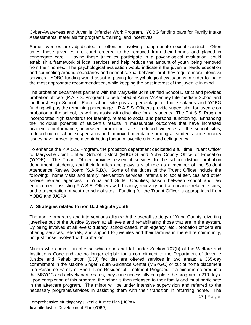Cyber-Awareness and Juvenile Offender Work Program. YOBG funding pays for Family Intake Assessments, materials for programs, training, and incentives.

Some juveniles are adjudicated for offenses involving inappropriate sexual conduct. Often times these juveniles are court ordered to be removed from their homes and placed in congregate care. Having these juveniles participate in a psychological evaluation, could establish a framework of local services and help reduce the amount of youth being removed from their homes. The psychological evaluation would indicate if the juvenile needs education and counseling around boundaries and normal sexual behavior or if they require more intensive services. YOBG funding would assist in paying for psychological evaluations in order to make the most appropriate recommendation, while keeping the best interest of the juvenile in mind.

The probation department partners with the Marysville Joint Unified School District and provides probation officers (P.A.S.S. Program) to be located at Anna McKenney Intermediate School and Lindhurst High School. Each school site pays a percentage of those salaries and YOBG funding will pay the remaining percentage. P.A.S.S. Officers provide supervision for juvenile on probation at the school, as well as assist with discipline for all students. The P.A.S.S. Program incorporates high standards for learning, related to social and personal functioning. Enhancing the individual potential of student's results in measurable outcomes that have increased academic performance, increased promotion rates, reduced violence at the school sites, reduced out-of-school suspensions and improved attendance among all students since truancy issues have proved to be a contributing factor in juvenile crime and delinquency.

To enhance the P.A.S.S. Program, the probation department dedicated a full time Truant Officer to Marysville Joint Unified School District (MJUSD) and Yuba County Office of Education (YCOE). The Truant Officer provides essential services to the school district, probation department, students, and their families and plays a vital role as a member of the Student Attendance Review Board (S.A.R.B.). Some of the duties of the Truant Officer include the following: home visits and family intervention services; referrals to social services and other service related agencies in Yuba and Sutter Counties; liaison between school and law enforcement; assisting P.A.S.S. Officers with truancy, recovery and attendance related issues; and transportation of youth to school sites. Funding for the Truant Officer is appropriated from YOBG and JJCPA.

#### **7. Strategies related to non DJJ eligible youth**

The above programs and interventions align with the overall strategy of Yuba County: diverting juveniles out of the Justice System at all levels and rehabilitating those that are in the system. By being involved at all levels; truancy, school-based, multi-agency, etc., probation officers are offering services, referrals, and support to juveniles and their families in the entire community, not just those involved with probation.

Minors who commit an offense which does not fall under Section 707(b) of the Welfare and Institutions Code and are no longer eligible for a commitment to the Department of Juvenile Justice and Rehabilitation (DJJ) facilities are offered services in two areas; a 365-day commitment in the Maxine Singer Youth Guidance Center (MSYGC) or out of home placement in a Resource Family or Short Term Residential Treatment Program. If a minor is ordered into the MSYGC and actively participates, they can successfully complete the program in 210 days. Upon completion of this program, the minor is then released to their family and must participate in the aftercare program. The minor will be under intensive supervision and referred to the necessary programs/services in assisting them with their transition in returning home. The